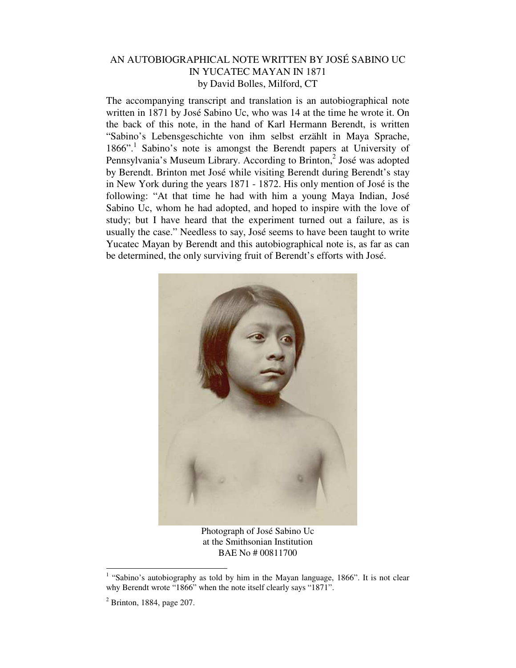# AN AUTOBIOGRAPHICAL NOTE WRITTEN BY JOSÉ SABINO UC IN YUCATEC MAYAN IN 1871 by David Bolles, Milford, CT

The accompanying transcript and translation is an autobiographical note written in 1871 by José Sabino Uc, who was 14 at the time he wrote it. On the back of this note, in the hand of Karl Hermann Berendt, is written "Sabino's Lebensgeschichte von ihm selbst erzählt in Maya Sprache, 1866".<sup>1</sup> Sabino's note is amongst the Berendt papers at University of Pennsylvania's Museum Library. According to Brinton,<sup>2</sup> José was adopted by Berendt. Brinton met José while visiting Berendt during Berendt's stay in New York during the years 1871 - 1872. His only mention of José is the following: "At that time he had with him a young Maya Indian, José Sabino Uc, whom he had adopted, and hoped to inspire with the love of study; but I have heard that the experiment turned out a failure, as is usually the case." Needless to say, José seems to have been taught to write Yucatec Mayan by Berendt and this autobiographical note is, as far as can be determined, the only surviving fruit of Berendt's efforts with José.



Photograph of José Sabino Uc at the Smithsonian Institution BAE No # 00811700

<sup>&</sup>lt;sup>1</sup> "Sabino's autobiography as told by him in the Mayan language, 1866". It is not clear why Berendt wrote "1866" when the note itself clearly says "1871".

 $<sup>2</sup>$  Brinton, 1884, page 207.</sup>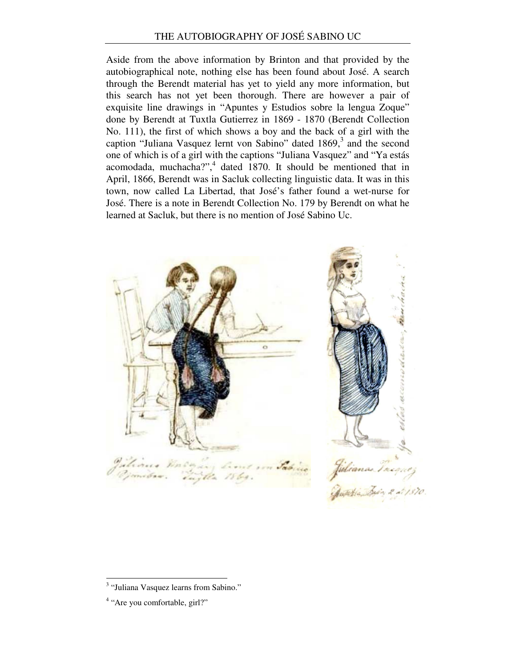Aside from the above information by Brinton and that provided by the autobiographical note, nothing else has been found about José. A search through the Berendt material has yet to yield any more information, but this search has not yet been thorough. There are however a pair of exquisite line drawings in "Apuntes y Estudios sobre la lengua Zoque" done by Berendt at Tuxtla Gutierrez in 1869 - 1870 (Berendt Collection No. 111), the first of which shows a boy and the back of a girl with the caption "Juliana Vasquez lernt von Sabino" dated 1869,<sup>3</sup> and the second one of which is of a girl with the captions "Juliana Vasquez" and "Ya estás acomodada, muchacha?",<sup>4</sup> dated 1870. It should be mentioned that in April, 1866, Berendt was in Sacluk collecting linguistic data. It was in this town, now called La Libertad, that José's father found a wet-nurse for José. There is a note in Berendt Collection No. 179 by Berendt on what he learned at Sacluk, but there is no mention of José Sabino Uc.



<sup>&</sup>lt;sup>3</sup> "Juliana Vasquez learns from Sabino."

<sup>&</sup>lt;sup>4</sup> "Are you comfortable, girl?"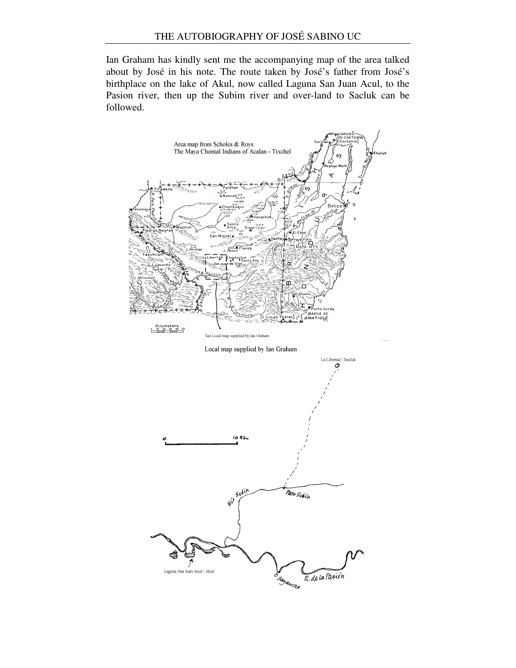Ian Graham has kindly sent me the accompanying map of the area talked about by José in his note. The route taken by José's father from José's birthplace on the lake of Akul, now called Laguna San Juan Acul, to the Pasion river, then up the Subim river and over-land to Sacluk can be followed.

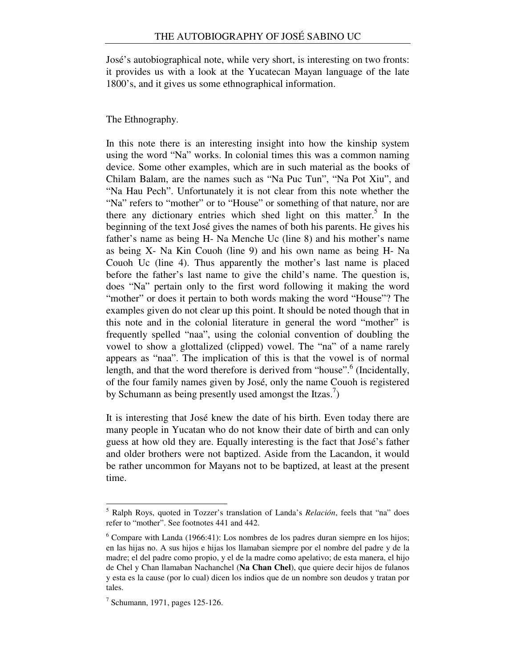José's autobiographical note, while very short, is interesting on two fronts: it provides us with a look at the Yucatecan Mayan language of the late 1800's, and it gives us some ethnographical information.

The Ethnography.

In this note there is an interesting insight into how the kinship system using the word "Na" works. In colonial times this was a common naming device. Some other examples, which are in such material as the books of Chilam Balam, are the names such as "Na Puc Tun", "Na Pot Xiu", and "Na Hau Pech". Unfortunately it is not clear from this note whether the "Na" refers to "mother" or to "House" or something of that nature, nor are there any dictionary entries which shed light on this matter.<sup>5</sup> In the beginning of the text José gives the names of both his parents. He gives his father's name as being H- Na Menche Uc (line 8) and his mother's name as being X- Na Kin Couoh (line 9) and his own name as being H- Na Couoh Uc (line 4). Thus apparently the mother's last name is placed before the father's last name to give the child's name. The question is, does "Na" pertain only to the first word following it making the word "mother" or does it pertain to both words making the word "House"? The examples given do not clear up this point. It should be noted though that in this note and in the colonial literature in general the word "mother" is frequently spelled "naa", using the colonial convention of doubling the vowel to show a glottalized (clipped) vowel. The "na" of a name rarely appears as "naa". The implication of this is that the vowel is of normal length, and that the word therefore is derived from "house".<sup>6</sup> (Incidentally, of the four family names given by José, only the name Couoh is registered by Schumann as being presently used amongst the Itzas.<sup>7</sup>)

It is interesting that José knew the date of his birth. Even today there are many people in Yucatan who do not know their date of birth and can only guess at how old they are. Equally interesting is the fact that José's father and older brothers were not baptized. Aside from the Lacandon, it would be rather uncommon for Mayans not to be baptized, at least at the present time.

<sup>5</sup> Ralph Roys, quoted in Tozzer's translation of Landa's *Relación*, feels that "na" does refer to "mother". See footnotes 441 and 442.

 $6$  Compare with Landa (1966:41): Los nombres de los padres duran siempre en los hijos; en las hijas no. A sus hijos e hijas los llamaban siempre por el nombre del padre y de la madre; el del padre como propio, y el de la madre como apelativo; de esta manera, el hijo de Chel y Chan llamaban Nachanchel (**Na Chan Chel**), que quiere decir hijos de fulanos y esta es la cause (por lo cual) dicen los indios que de un nombre son deudos y tratan por tales.

<sup>7</sup> Schumann, 1971, pages 125-126.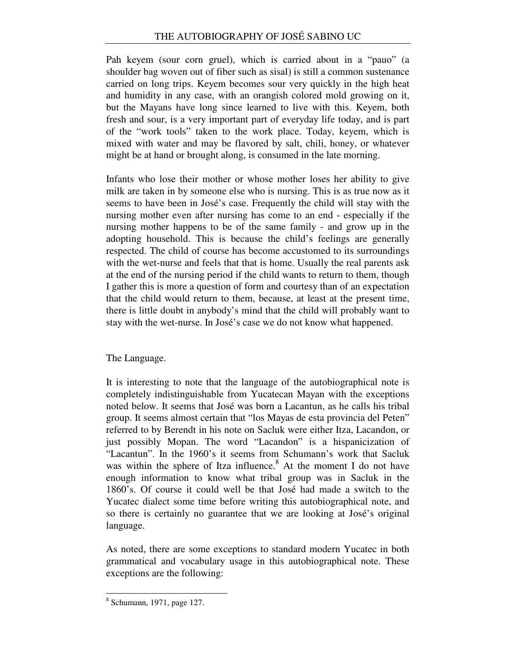Pah keyem (sour corn gruel), which is carried about in a "pauo" (a shoulder bag woven out of fiber such as sisal) is still a common sustenance carried on long trips. Keyem becomes sour very quickly in the high heat and humidity in any case, with an orangish colored mold growing on it, but the Mayans have long since learned to live with this. Keyem, both fresh and sour, is a very important part of everyday life today, and is part of the "work tools" taken to the work place. Today, keyem, which is mixed with water and may be flavored by salt, chili, honey, or whatever might be at hand or brought along, is consumed in the late morning.

Infants who lose their mother or whose mother loses her ability to give milk are taken in by someone else who is nursing. This is as true now as it seems to have been in José's case. Frequently the child will stay with the nursing mother even after nursing has come to an end - especially if the nursing mother happens to be of the same family - and grow up in the adopting household. This is because the child's feelings are generally respected. The child of course has become accustomed to its surroundings with the wet-nurse and feels that that is home. Usually the real parents ask at the end of the nursing period if the child wants to return to them, though I gather this is more a question of form and courtesy than of an expectation that the child would return to them, because, at least at the present time, there is little doubt in anybody's mind that the child will probably want to stay with the wet-nurse. In José's case we do not know what happened.

The Language.

It is interesting to note that the language of the autobiographical note is completely indistinguishable from Yucatecan Mayan with the exceptions noted below. It seems that José was born a Lacantun, as he calls his tribal group. It seems almost certain that "los Mayas de esta provincia del Peten" referred to by Berendt in his note on Sacluk were either Itza, Lacandon, or just possibly Mopan. The word "Lacandon" is a hispanicization of "Lacantun". In the 1960's it seems from Schumann's work that Sacluk was within the sphere of Itza influence.<sup>8</sup> At the moment I do not have enough information to know what tribal group was in Sacluk in the 1860's. Of course it could well be that José had made a switch to the Yucatec dialect some time before writing this autobiographical note, and so there is certainly no guarantee that we are looking at José's original language.

As noted, there are some exceptions to standard modern Yucatec in both grammatical and vocabulary usage in this autobiographical note. These exceptions are the following:

<sup>8</sup> Schumann, 1971, page 127.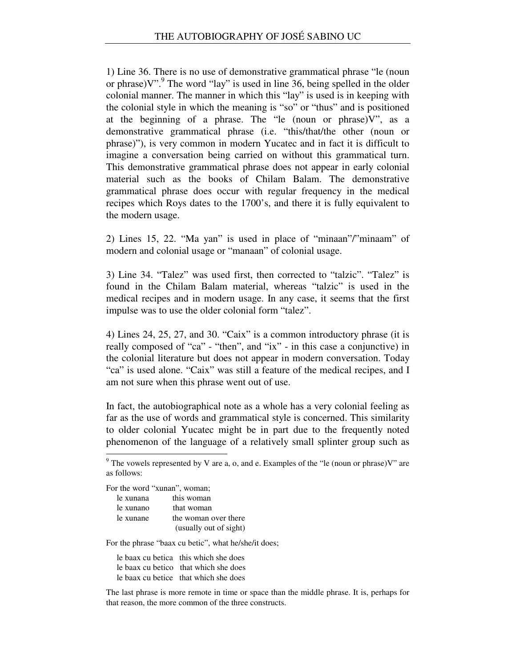1) Line 36. There is no use of demonstrative grammatical phrase "le (noun or phrase) $V''$ .<sup>9</sup> The word "lay" is used in line 36, being spelled in the older colonial manner. The manner in which this "lay" is used is in keeping with the colonial style in which the meaning is "so" or "thus" and is positioned at the beginning of a phrase. The "le (noun or phrase) $V$ ", as a demonstrative grammatical phrase (i.e. "this/that/the other (noun or phrase)"), is very common in modern Yucatec and in fact it is difficult to imagine a conversation being carried on without this grammatical turn. This demonstrative grammatical phrase does not appear in early colonial material such as the books of Chilam Balam. The demonstrative grammatical phrase does occur with regular frequency in the medical recipes which Roys dates to the 1700's, and there it is fully equivalent to the modern usage.

2) Lines 15, 22. "Ma yan" is used in place of "minaan"/"minaam" of modern and colonial usage or "manaan" of colonial usage.

3) Line 34. "Talez" was used first, then corrected to "talzic". "Talez" is found in the Chilam Balam material, whereas "talzic" is used in the medical recipes and in modern usage. In any case, it seems that the first impulse was to use the older colonial form "talez".

4) Lines 24, 25, 27, and 30. "Caix" is a common introductory phrase (it is really composed of "ca" - "then", and "ix" - in this case a conjunctive) in the colonial literature but does not appear in modern conversation. Today "ca" is used alone. "Caix" was still a feature of the medical recipes, and I am not sure when this phrase went out of use.

In fact, the autobiographical note as a whole has a very colonial feeling as far as the use of words and grammatical style is concerned. This similarity to older colonial Yucatec might be in part due to the frequently noted phenomenon of the language of a relatively small splinter group such as

<sup>&</sup>lt;sup>9</sup> The vowels represented by V are a, o, and e. Examples of the "le (noun or phrase) V" are as follows:

|           | For the word "xunan", woman; |
|-----------|------------------------------|
| le xunana | this woman                   |
| le xunano | that woman                   |
| le xunane | the woman over there         |
|           | (usually out of sight)       |

-

For the phrase "baax cu betic", what he/she/it does;

| le baax cu betica this which she does |
|---------------------------------------|
| le baax cu betico that which she does |
| le baax cu betice that which she does |

The last phrase is more remote in time or space than the middle phrase. It is, perhaps for that reason, the more common of the three constructs.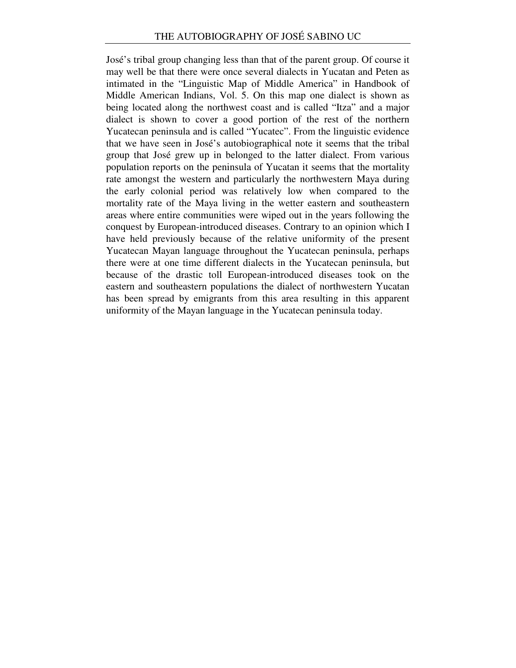José's tribal group changing less than that of the parent group. Of course it may well be that there were once several dialects in Yucatan and Peten as intimated in the "Linguistic Map of Middle America" in Handbook of Middle American Indians, Vol. 5. On this map one dialect is shown as being located along the northwest coast and is called "Itza" and a major dialect is shown to cover a good portion of the rest of the northern Yucatecan peninsula and is called "Yucatec". From the linguistic evidence that we have seen in José's autobiographical note it seems that the tribal group that José grew up in belonged to the latter dialect. From various population reports on the peninsula of Yucatan it seems that the mortality rate amongst the western and particularly the northwestern Maya during the early colonial period was relatively low when compared to the mortality rate of the Maya living in the wetter eastern and southeastern areas where entire communities were wiped out in the years following the conquest by European-introduced diseases. Contrary to an opinion which I have held previously because of the relative uniformity of the present Yucatecan Mayan language throughout the Yucatecan peninsula, perhaps there were at one time different dialects in the Yucatecan peninsula, but because of the drastic toll European-introduced diseases took on the eastern and southeastern populations the dialect of northwestern Yucatan has been spread by emigrants from this area resulting in this apparent uniformity of the Mayan language in the Yucatecan peninsula today.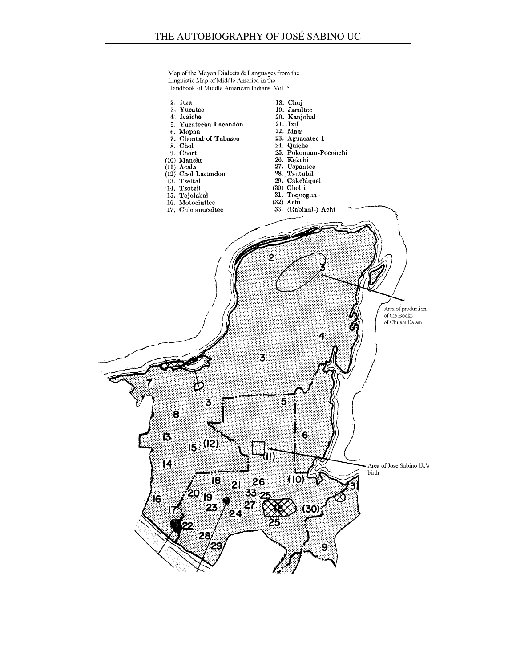Map of the Mayan Dialects & Languages from the Linguistic Map of Middle America in the Handbook of Middle American Indians, Vol. 5

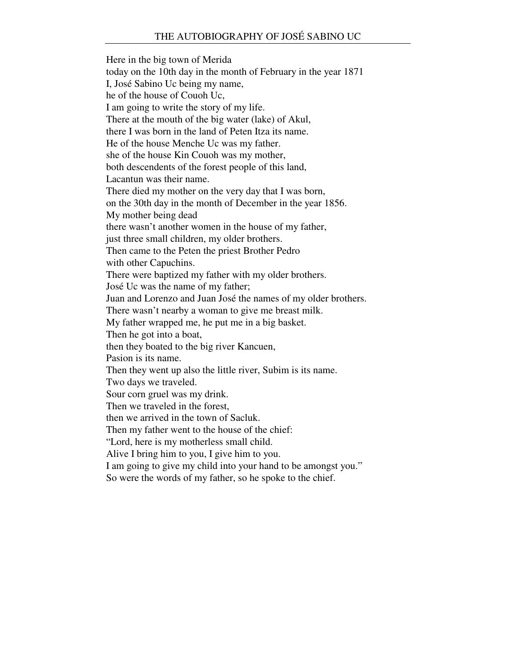Here in the big town of Merida today on the 10th day in the month of February in the year 1871 I, José Sabino Uc being my name, he of the house of Couoh Uc, I am going to write the story of my life. There at the mouth of the big water (lake) of Akul, there I was born in the land of Peten Itza its name. He of the house Menche Uc was my father. she of the house Kin Couoh was my mother, both descendents of the forest people of this land, Lacantun was their name. There died my mother on the very day that I was born, on the 30th day in the month of December in the year 1856. My mother being dead there wasn't another women in the house of my father, just three small children, my older brothers. Then came to the Peten the priest Brother Pedro with other Capuchins. There were baptized my father with my older brothers. José Uc was the name of my father; Juan and Lorenzo and Juan José the names of my older brothers. There wasn't nearby a woman to give me breast milk. My father wrapped me, he put me in a big basket. Then he got into a boat, then they boated to the big river Kancuen, Pasion is its name. Then they went up also the little river, Subim is its name. Two days we traveled. Sour corn gruel was my drink. Then we traveled in the forest, then we arrived in the town of Sacluk. Then my father went to the house of the chief: "Lord, here is my motherless small child. Alive I bring him to you, I give him to you. I am going to give my child into your hand to be amongst you." So were the words of my father, so he spoke to the chief.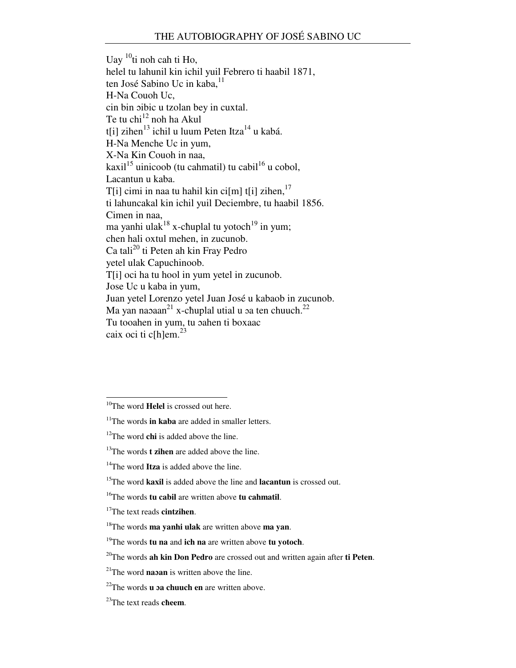Uay  $^{10}$ ti noh cah ti Ho, helel tu lahunil kin ichil yuil Febrero ti haabil 1871, ten José Sabino Uc in kaba, $^{11}$ H-Na Couoh Uc, cin bin ɔibic u tzolan bey in cuxtal. Te tu chi<sup>12</sup> noh ha Akul t[i] zihen<sup>13</sup> ichil u luum Peten Itza<sup>14</sup> u kabá. H-Na Menche Uc in yum, X-Na Kin Couoh in naa, kaxil<sup>15</sup> uinicoob (tu cahmatil) tu cabil<sup>16</sup> u cobol, Lacantun u kaba. T[i] cimi in naa tu hahil kin ci[m] t[i] zihen, $^{17}$ ti lahuncakal kin ichil yuil Deciembre, tu haabil 1856. Cimen in naa, ma yanhi ulak<sup>18</sup> x-chuplal tu yotoch<sup>19</sup> in yum; chen hali oxtul mehen, in zucunob. Ca tali<sup>20</sup> ti Peten ah kin Fray Pedro yetel ulak Capuchinoob. T[i] oci ha tu hool in yum yetel in zucunob. Jose Uc u kaba in yum, Juan yetel Lorenzo yetel Juan José u kabaob in zucunob. Ma yan na $\alpha$ aan<sup>21</sup> x-chuplal utial u  $\alpha$  ten chuuch.<sup>22</sup> Tu tooahen in yum, tu ɔahen ti boxaac caix oci ti c[h]em. $^{23}$ 

<sup>&</sup>lt;sup>10</sup>The word **Helel** is crossed out here.

<sup>&</sup>lt;sup>11</sup>The words **in kaba** are added in smaller letters.

<sup>&</sup>lt;sup>12</sup>The word **chi** is added above the line.

<sup>&</sup>lt;sup>13</sup>The words **t zihen** are added above the line.

<sup>&</sup>lt;sup>14</sup>The word **Itza** is added above the line.

<sup>15</sup>The word **kaxil** is added above the line and **lacantun** is crossed out.

<sup>16</sup>The words **tu cabil** are written above **tu cahmatil**.

<sup>17</sup>The text reads **cintzihen**.

<sup>18</sup>The words **ma yanhi ulak** are written above **ma yan**.

<sup>19</sup>The words **tu na** and **ich na** are written above **tu yotoch**.

<sup>20</sup>The words **ah kin Don Pedro** are crossed out and written again after **ti Peten**.

<sup>21</sup>The word **naɔan** is written above the line.

<sup>22</sup>The words **u ɔa chuuch en** are written above.

<sup>23</sup>The text reads **cħeem**.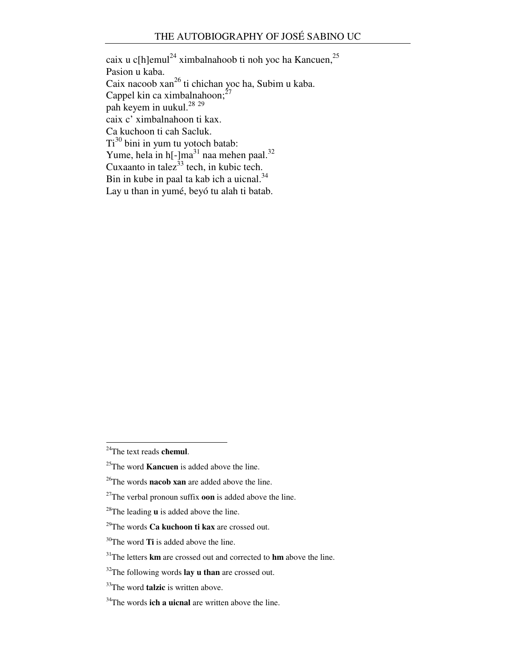caix u c[h]emul<sup>24</sup> ximbalnahoob ti noh yoc ha Kancuen,<sup>25</sup> Pasion u kaba. Caix nacoob xan<sup>26</sup> ti chichan yoc ha, Subim u kaba. Cappel kin ca ximbalnahoon; $^{27}$ pah keyem in uukul.<sup>28</sup> 29 caix c' ximbalnahoon ti kax. Ca kuchoon ti cah Sacluk.  $Ti^{30}$  bini in yum tu yotoch batab: Yume, hela in h[-]ma<sup>31</sup> naa mehen paal.<sup>32</sup> Cuxaanto in talez $33$  tech, in kubic tech. Bin in kube in paal ta kab ich a uicnal.<sup>34</sup> Lay u than in yumé, beyó tu alah ti batab.

<sup>24</sup>The text reads **cħemul**.

<sup>&</sup>lt;sup>25</sup>The word **Kancuen** is added above the line.

<sup>26</sup>The words **nacob xan** are added above the line.

<sup>27</sup>The verbal pronoun suffix **oon** is added above the line.

<sup>28</sup>The leading **u** is added above the line.

<sup>29</sup>The words **Ca kuchoon ti kax** are crossed out.

<sup>30</sup>The word **Ti** is added above the line.

<sup>31</sup>The letters **km** are crossed out and corrected to **hm** above the line.

<sup>&</sup>lt;sup>32</sup>The following words **lay u than** are crossed out.

<sup>33</sup>The word **talzic** is written above.

<sup>34</sup>The words **ich a uicnal** are written above the line.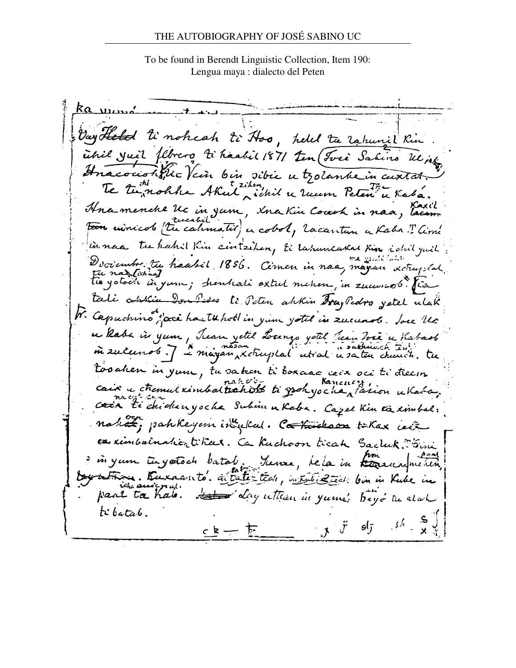# THE AUTOBIOGRAPHY OF JOSÉ SABINO UC

To be found in Berendt Linguistic Collection, Item 190: Lengua maya : dialecto del Peten

<u>ka wung</u> Day Fleted ti noheah ti Hoo, held the rahunil Kin util Juil fébrero ti haabit 1871 Fen (Fore Sabino We jef Anacocion de Vein bin sibie ce trolante in custat Te tu nohha Akul ichil u ruum Peten u Kalá. Hna menche Uc in yum, Xna Kin Coccoh in naa, becam tion minicole (tu calimatil) a cobol, racantum a Kaba ! Cimé in naa tu hahit Kin cintziken, ti tahuncakal kin ichil yuil Dociembre tu haabil 1856. Cimen in naa, marian xchapelal tali abbien Don Piers ti Poten abbin TrayPedro yetel ulak W. Capuchino" face has tu holl in your yetel in zucunob. Jose Uc u kaba in yum, Jean yetel Losenzo yotel Jean Iose u Kabash tosahen in yune, tu saken ti boxaac ceix oci ti diecin caix a chemal ximbaltiations ti grohyocha l'asion a Kaba. crès ti chidunyoche Subimu Raba. Capel Kin ta timbal: nahat, pahkeyem ingekal. Ca twichers tokas in ex rimbalnation tikes. Ca Kuchoon ticah Sacluk . Sini = in your touy atoch batal . June, bela in Roacingmeten bytation. Buxocuto. autatented, intulistics bin in Kube in paul ta hab. Atter day utilism in yume; bey't the alah  $t$   $t$   $t$   $t$   $a$   $b$ .  $\cdot \frac{1}{\lambda}$   $\ddot{J}$  olj  $\frac{1}{\lambda}$   $\frac{1}{\lambda}$  $ck - E$